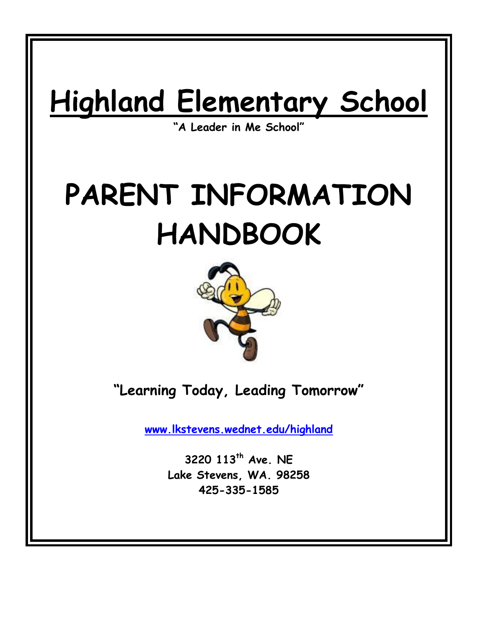# **Highland Elementary School**

**"A Leader in Me School"**

# **PARENT INFORMATION HANDBOOK**



**"Learning Today, Leading Tomorrow"**

**[www.lkstevens.wednet.edu/highland](http://www.lkstevens.wednet.edu/highland)**

**3220 113th Ave. NE Lake Stevens, WA. 98258 425-335-1585**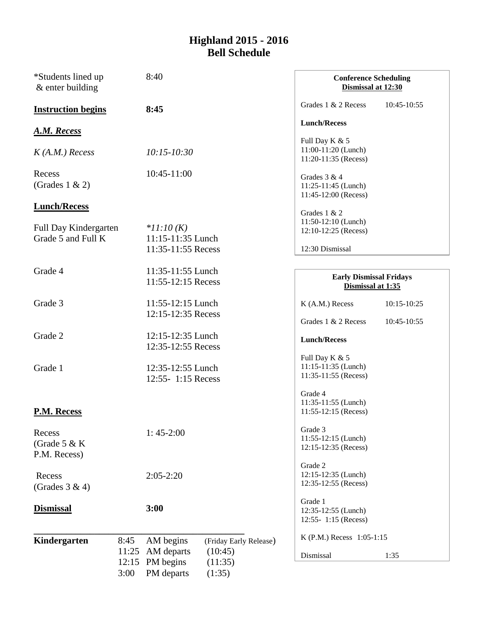### **Highland 2015 - 2016 Bell Schedule**

| *Students lined up<br>$&$ enter building |       | 8:40                                | <b>Conference Scheduling</b><br>Dismissal at 12:30 |             |
|------------------------------------------|-------|-------------------------------------|----------------------------------------------------|-------------|
| <b>Instruction begins</b>                |       | 8:45                                | Grades 1 & 2 Recess                                | 10:45-10:55 |
| <b>A.M. Recess</b>                       |       |                                     | <b>Lunch/Recess</b>                                |             |
|                                          |       |                                     | Full Day K & 5                                     |             |
|                                          |       |                                     | 11:00-11:20 (Lunch)                                |             |
| $K(A.M.)$ Recess                         |       | $10:15 - 10:30$                     | 11:20-11:35 (Recess)                               |             |
| Recess                                   |       | 10:45-11:00                         |                                                    |             |
| (Grades $1 \& 2$ )                       |       |                                     | Grades 3 & 4<br>11:25-11:45 (Lunch)                |             |
|                                          |       |                                     | 11:45-12:00 (Recess)                               |             |
| <b>Lunch/Recess</b>                      |       |                                     |                                                    |             |
|                                          |       |                                     | Grades 1 & 2<br>11:50-12:10 (Lunch)                |             |
| Full Day Kindergarten                    |       | $*11:10(K)$                         | 12:10-12:25 (Recess)                               |             |
| Grade 5 and Full K                       |       | 11:15-11:35 Lunch                   |                                                    |             |
|                                          |       | 11:35-11:55 Recess                  | 12:30 Dismissal                                    |             |
|                                          |       |                                     |                                                    |             |
| Grade 4                                  |       | 11:35-11:55 Lunch                   | <b>Early Dismissal Fridays</b>                     |             |
|                                          |       | 11:55-12:15 Recess                  | Dismissal at 1:35                                  |             |
| Grade 3                                  |       | 11:55-12:15 Lunch                   | K (A.M.) Recess                                    | 10:15-10:25 |
|                                          |       | 12:15-12:35 Recess                  |                                                    |             |
|                                          |       |                                     | Grades 1 & 2 Recess                                | 10:45-10:55 |
| Grade 2                                  |       | 12:15-12:35 Lunch                   |                                                    |             |
|                                          |       | 12:35-12:55 Recess                  | <b>Lunch/Recess</b>                                |             |
|                                          |       |                                     | Full Day K & 5                                     |             |
| Grade 1                                  |       | 12:35-12:55 Lunch                   | 11:15-11:35 (Lunch)                                |             |
|                                          |       | 12:55- 1:15 Recess                  | 11:35-11:55 (Recess)                               |             |
|                                          |       |                                     |                                                    |             |
|                                          |       |                                     | Grade 4                                            |             |
| P.M. Recess                              |       |                                     | 11:35-11:55 (Lunch)<br>11:55-12:15 (Recess)        |             |
|                                          |       |                                     |                                                    |             |
| Recess                                   |       | $1:45-2:00$                         | Grade 3                                            |             |
| (Grade $5 & K$                           |       |                                     | 11:55-12:15 (Lunch)                                |             |
| P.M. Recess)                             |       |                                     | 12:15-12:35 (Recess)                               |             |
|                                          |       |                                     | Grade 2                                            |             |
| Recess                                   |       | $2:05-2:20$                         | 12:15-12:35 (Lunch)                                |             |
| (Grades $3 & 4$ )                        |       |                                     | 12:35-12:55 (Recess)                               |             |
|                                          |       |                                     | Grade 1                                            |             |
| <b>Dismissal</b>                         |       | 3:00                                | 12:35-12:55 (Lunch)                                |             |
|                                          |       |                                     | 12:55- 1:15 (Recess)                               |             |
|                                          |       |                                     |                                                    |             |
| Kindergarten                             | 8:45  | AM begins<br>(Friday Early Release) | K (P.M.) Recess 1:05-1:15                          |             |
|                                          | 11:25 | AM departs<br>(10:45)               | Dismissal                                          | 1:35        |
|                                          | 12:15 | PM begins<br>(11:35)                |                                                    |             |
|                                          | 3:00  | (1:35)<br>PM departs                |                                                    |             |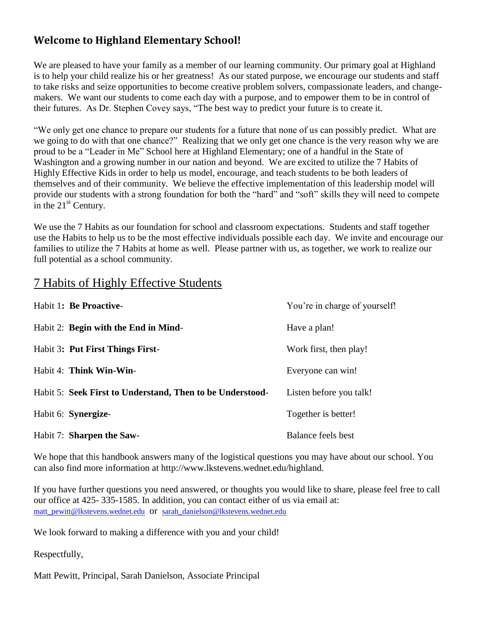## **Welcome to Highland Elementary School!**

We are pleased to have your family as a member of our learning community. Our primary goal at Highland is to help your child realize his or her greatness! As our stated purpose, we encourage our students and staff to take risks and seize opportunities to become creative problem solvers, compassionate leaders, and changemakers. We want our students to come each day with a purpose, and to empower them to be in control of their futures. As Dr. Stephen Covey says, "The best way to predict your future is to create it.

"We only get one chance to prepare our students for a future that none of us can possibly predict. What are we going to do with that one chance?" Realizing that we only get one chance is the very reason why we are proud to be a "Leader in Me" School here at Highland Elementary; one of a handful in the State of Washington and a growing number in our nation and beyond. We are excited to utilize the 7 Habits of Highly Effective Kids in order to help us model, encourage, and teach students to be both leaders of themselves and of their community. We believe the effective implementation of this leadership model will provide our students with a strong foundation for both the "hard" and "soft" skills they will need to compete in the  $21<sup>st</sup>$  Century.

We use the 7 Habits as our foundation for school and classroom expectations. Students and staff together use the Habits to help us to be the most effective individuals possible each day. We invite and encourage our families to utilize the 7 Habits at home as well. Please partner with us, as together, we work to realize our full potential as a school community.

## 7 Habits of Highly Effective Students

| Habit 1: Be Proactive-                                    | You're in charge of yourself! |
|-----------------------------------------------------------|-------------------------------|
| Habit 2: Begin with the End in Mind-                      | Have a plan!                  |
| Habit 3: Put First Things First-                          | Work first, then play!        |
| Habit 4: Think Win-Win-                                   | Everyone can win!             |
| Habit 5: Seek First to Understand, Then to be Understood- | Listen before you talk!       |
| Habit 6: Synergize-                                       | Together is better!           |
| Habit 7: Sharpen the Saw-                                 | Balance feels best            |

We hope that this handbook answers many of the logistical questions you may have about our school. You can also find more information at http://www.lkstevens.wednet.edu/highland.

If you have further questions you need answered, or thoughts you would like to share, please feel free to call our office at 425- 335-1585. In addition, you can contact either of us via email at: [matt\\_pewitt@lkstevens.wednet.edu](mailto:matt_pewitt@lkstevens.wednet.edu) Or [sarah\\_danielson@lkstevens.wednet.edu](mailto:sarah_danielson@lkstevens.wednet.edu)

We look forward to making a difference with you and your child!

Respectfully,

Matt Pewitt, Principal, Sarah Danielson, Associate Principal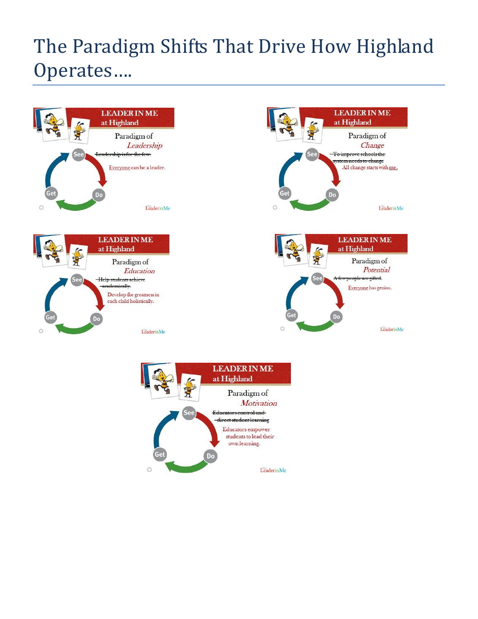# The Paradigm Shifts That Drive How Highland Operates….



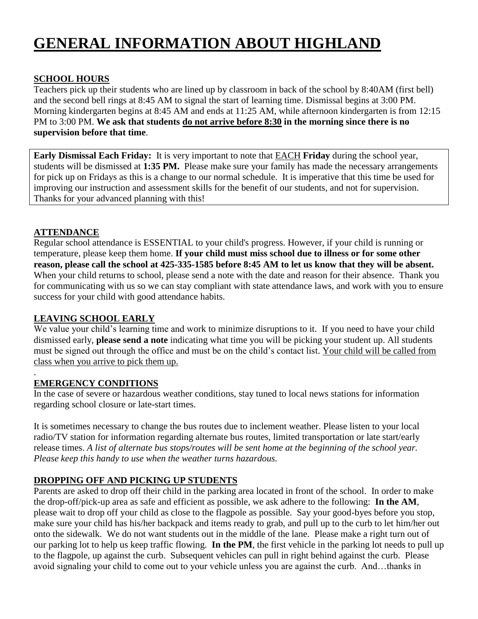# **GENERAL INFORMATION ABOUT HIGHLAND**

#### **SCHOOL HOURS**

Teachers pick up their students who are lined up by classroom in back of the school by 8:40AM (first bell) and the second bell rings at 8:45 AM to signal the start of learning time. Dismissal begins at 3:00 PM. Morning kindergarten begins at 8:45 AM and ends at 11:25 AM, while afternoon kindergarten is from 12:15 PM to 3:00 PM. **We ask that students do not arrive before 8:30 in the morning since there is no supervision before that time**.

**Early Dismissal Each Friday:** It is very important to note that EACH **Friday** during the school year, students will be dismissed at **1:35 PM.** Please make sure your family has made the necessary arrangements for pick up on Fridays as this is a change to our normal schedule. It is imperative that this time be used for improving our instruction and assessment skills for the benefit of our students, and not for supervision. Thanks for your advanced planning with this!

#### **ATTENDANCE**

.

Regular school attendance is ESSENTIAL to your child's progress. However, if your child is running or temperature, please keep them home. **If your child must miss school due to illness or for some other reason, please call the school at 425-335-1585 before 8:45 AM to let us know that they will be absent.**  When your child returns to school, please send a note with the date and reason for their absence. Thank you for communicating with us so we can stay compliant with state attendance laws, and work with you to ensure success for your child with good attendance habits.

#### **LEAVING SCHOOL EARLY**

We value your child's learning time and work to minimize disruptions to it. If you need to have your child dismissed early, **please send a note** indicating what time you will be picking your student up. All students must be signed out through the office and must be on the child's contact list. Your child will be called from class when you arrive to pick them up.

#### **EMERGENCY CONDITIONS**

In the case of severe or hazardous weather conditions, stay tuned to local news stations for information regarding school closure or late-start times.

It is sometimes necessary to change the bus routes due to inclement weather. Please listen to your local radio/TV station for information regarding alternate bus routes, limited transportation or late start/early release times. *A list of alternate bus stops/routes will be sent home at the beginning of the school year. Please keep this handy to use when the weather turns hazardous.*

#### **DROPPING OFF AND PICKING UP STUDENTS**

Parents are asked to drop off their child in the parking area located in front of the school. In order to make the drop-off/pick-up area as safe and efficient as possible, we ask adhere to the following: **In the AM**, please wait to drop off your child as close to the flagpole as possible. Say your good-byes before you stop, make sure your child has his/her backpack and items ready to grab, and pull up to the curb to let him/her out onto the sidewalk. We do not want students out in the middle of the lane. Please make a right turn out of our parking lot to help us keep traffic flowing. **In the PM**, the first vehicle in the parking lot needs to pull up to the flagpole, up against the curb. Subsequent vehicles can pull in right behind against the curb. Please avoid signaling your child to come out to your vehicle unless you are against the curb. And…thanks in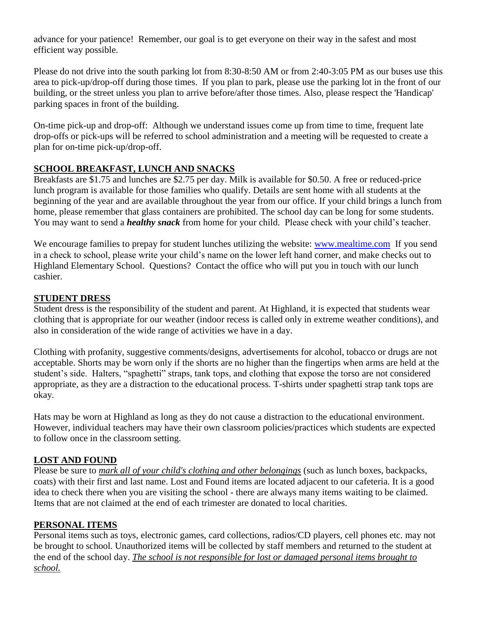advance for your patience! Remember, our goal is to get everyone on their way in the safest and most efficient way possible.

Please do not drive into the south parking lot from 8:30-8:50 AM or from 2:40-3:05 PM as our buses use this area to pick-up/drop-off during those times. If you plan to park, please use the parking lot in the front of our building, or the street unless you plan to arrive before/after those times. Also, please respect the 'Handicap' parking spaces in front of the building.

On-time pick-up and drop-off: Although we understand issues come up from time to time, frequent late drop-offs or pick-ups will be referred to school administration and a meeting will be requested to create a plan for on-time pick-up/drop-off.

#### **SCHOOL BREAKFAST, LUNCH AND SNACKS**

Breakfasts are \$1.75 and lunches are \$2.75 per day. Milk is available for \$0.50. A free or reduced-price lunch program is available for those families who qualify. Details are sent home with all students at the beginning of the year and are available throughout the year from our office. If your child brings a lunch from home, please remember that glass containers are prohibited. The school day can be long for some students. You may want to send a *healthy snack* from home for your child. Please check with your child's teacher.

We encourage families to prepay for student lunches utilizing the website: [www.mealtime.com](http://www.mealtime.com/) If you send in a check to school, please write your child's name on the lower left hand corner, and make checks out to Highland Elementary School. Questions? Contact the office who will put you in touch with our lunch cashier.

#### **STUDENT DRESS**

Student dress is the responsibility of the student and parent. At Highland, it is expected that students wear clothing that is appropriate for our weather (indoor recess is called only in extreme weather conditions), and also in consideration of the wide range of activities we have in a day.

Clothing with profanity, suggestive comments/designs, advertisements for alcohol, tobacco or drugs are not acceptable. Shorts may be worn only if the shorts are no higher than the fingertips when arms are held at the student's side. Halters, "spaghetti" straps, tank tops, and clothing that expose the torso are not considered appropriate, as they are a distraction to the educational process. T-shirts under spaghetti strap tank tops are okay.

Hats may be worn at Highland as long as they do not cause a distraction to the educational environment. However, individual teachers may have their own classroom policies/practices which students are expected to follow once in the classroom setting.

#### **LOST AND FOUND**

Please be sure to *mark all of your child's clothing and other belongings* (such as lunch boxes, backpacks, coats) with their first and last name. Lost and Found items are located adjacent to our cafeteria. It is a good idea to check there when you are visiting the school - there are always many items waiting to be claimed. Items that are not claimed at the end of each trimester are donated to local charities.

#### **PERSONAL ITEMS**

Personal items such as toys, electronic games, card collections, radios/CD players, cell phones etc. may not be brought to school. Unauthorized items will be collected by staff members and returned to the student at the end of the school day. *The school is not responsible for lost or damaged personal items brought to school.*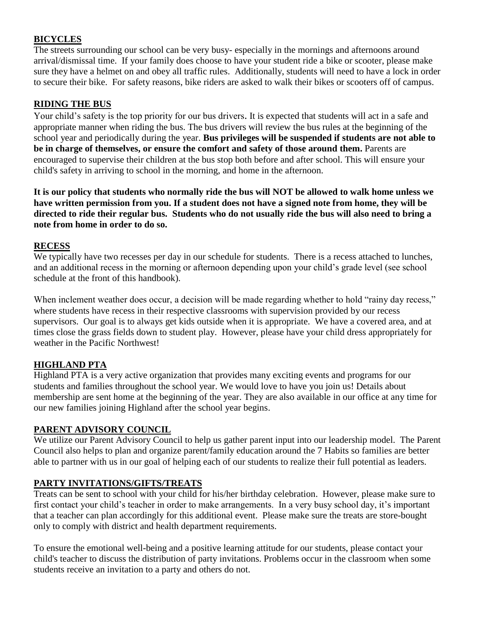### **BICYCLES**

The streets surrounding our school can be very busy- especially in the mornings and afternoons around arrival/dismissal time. If your family does choose to have your student ride a bike or scooter, please make sure they have a helmet on and obey all traffic rules. Additionally, students will need to have a lock in order to secure their bike. For safety reasons, bike riders are asked to walk their bikes or scooters off of campus.

#### **RIDING THE BUS**

Your child's safety is the top priority for our bus drivers. It is expected that students will act in a safe and appropriate manner when riding the bus. The bus drivers will review the bus rules at the beginning of the school year and periodically during the year. **Bus privileges will be suspended if students are not able to be in charge of themselves, or ensure the comfort and safety of those around them.** Parents are encouraged to supervise their children at the bus stop both before and after school. This will ensure your child's safety in arriving to school in the morning, and home in the afternoon.

**It is our policy that students who normally ride the bus will NOT be allowed to walk home unless we have written permission from you. If a student does not have a signed note from home, they will be directed to ride their regular bus. Students who do not usually ride the bus will also need to bring a note from home in order to do so.**

#### **RECESS**

We typically have two recesses per day in our schedule for students. There is a recess attached to lunches, and an additional recess in the morning or afternoon depending upon your child's grade level (see school schedule at the front of this handbook).

When inclement weather does occur, a decision will be made regarding whether to hold "rainy day recess," where students have recess in their respective classrooms with supervision provided by our recess supervisors. Our goal is to always get kids outside when it is appropriate. We have a covered area, and at times close the grass fields down to student play. However, please have your child dress appropriately for weather in the Pacific Northwest!

#### **HIGHLAND PTA**

Highland PTA is a very active organization that provides many exciting events and programs for our students and families throughout the school year. We would love to have you join us! Details about membership are sent home at the beginning of the year. They are also available in our office at any time for our new families joining Highland after the school year begins.

#### **PARENT ADVISORY COUNCIL**

We utilize our Parent Advisory Council to help us gather parent input into our leadership model. The Parent Council also helps to plan and organize parent/family education around the 7 Habits so families are better able to partner with us in our goal of helping each of our students to realize their full potential as leaders.

#### **PARTY INVITATIONS/GIFTS/TREATS**

Treats can be sent to school with your child for his/her birthday celebration. However, please make sure to first contact your child's teacher in order to make arrangements. In a very busy school day, it's important that a teacher can plan accordingly for this additional event. Please make sure the treats are store-bought only to comply with district and health department requirements.

To ensure the emotional well-being and a positive learning attitude for our students, please contact your child's teacher to discuss the distribution of party invitations. Problems occur in the classroom when some students receive an invitation to a party and others do not.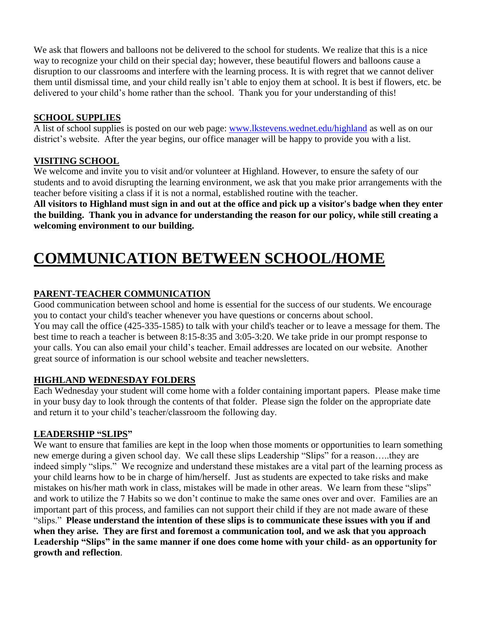We ask that flowers and balloons not be delivered to the school for students. We realize that this is a nice way to recognize your child on their special day; however, these beautiful flowers and balloons cause a disruption to our classrooms and interfere with the learning process. It is with regret that we cannot deliver them until dismissal time, and your child really isn't able to enjoy them at school. It is best if flowers, etc. be delivered to your child's home rather than the school. Thank you for your understanding of this!

#### **SCHOOL SUPPLIES**

A list of school supplies is posted on our web page: [www.lkstevens.wednet.edu/highland](http://www.lkstevens.wednet.edu/highland) as well as on our district's website. After the year begins, our office manager will be happy to provide you with a list.

#### **VISITING SCHOOL**

We welcome and invite you to visit and/or volunteer at Highland. However, to ensure the safety of our students and to avoid disrupting the learning environment, we ask that you make prior arrangements with the teacher before visiting a class if it is not a normal, established routine with the teacher.

**All visitors to Highland must sign in and out at the office and pick up a visitor's badge when they enter the building. Thank you in advance for understanding the reason for our policy, while still creating a welcoming environment to our building.** 

# **COMMUNICATION BETWEEN SCHOOL/HOME**

#### **PARENT-TEACHER COMMUNICATION**

Good communication between school and home is essential for the success of our students. We encourage you to contact your child's teacher whenever you have questions or concerns about school. You may call the office (425-335-1585) to talk with your child's teacher or to leave a message for them. The best time to reach a teacher is between 8:15-8:35 and 3:05-3:20. We take pride in our prompt response to your calls. You can also email your child's teacher. Email addresses are located on our website. Another great source of information is our school website and teacher newsletters.

#### **HIGHLAND WEDNESDAY FOLDERS**

Each Wednesday your student will come home with a folder containing important papers. Please make time in your busy day to look through the contents of that folder. Please sign the folder on the appropriate date and return it to your child's teacher/classroom the following day.

#### **LEADERSHIP "SLIPS"**

We want to ensure that families are kept in the loop when those moments or opportunities to learn something new emerge during a given school day. We call these slips Leadership "Slips" for a reason…..they are indeed simply "slips." We recognize and understand these mistakes are a vital part of the learning process as your child learns how to be in charge of him/herself. Just as students are expected to take risks and make mistakes on his/her math work in class, mistakes will be made in other areas. We learn from these "slips" and work to utilize the 7 Habits so we don't continue to make the same ones over and over. Families are an important part of this process, and families can not support their child if they are not made aware of these "slips." **Please understand the intention of these slips is to communicate these issues with you if and when they arise. They are first and foremost a communication tool, and we ask that you approach Leadership "Slips" in the same manner if one does come home with your child- as an opportunity for growth and reflection**.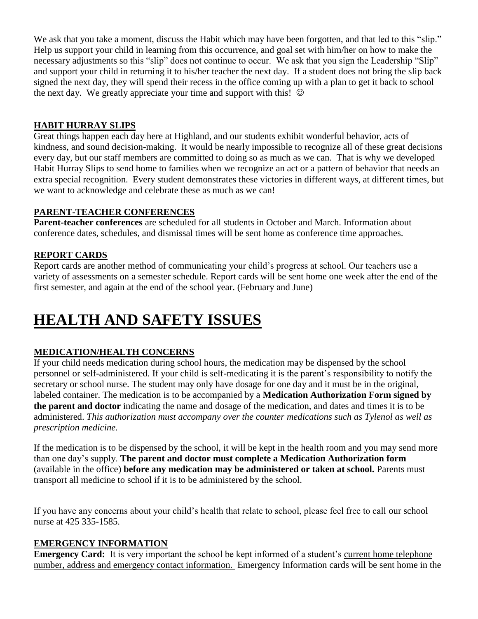We ask that you take a moment, discuss the Habit which may have been forgotten, and that led to this "slip." Help us support your child in learning from this occurrence, and goal set with him/her on how to make the necessary adjustments so this "slip" does not continue to occur. We ask that you sign the Leadership "Slip" and support your child in returning it to his/her teacher the next day. If a student does not bring the slip back signed the next day, they will spend their recess in the office coming up with a plan to get it back to school the next day. We greatly appreciate your time and support with this!  $\odot$ 

#### **HABIT HURRAY SLIPS**

Great things happen each day here at Highland, and our students exhibit wonderful behavior, acts of kindness, and sound decision-making. It would be nearly impossible to recognize all of these great decisions every day, but our staff members are committed to doing so as much as we can. That is why we developed Habit Hurray Slips to send home to families when we recognize an act or a pattern of behavior that needs an extra special recognition. Every student demonstrates these victories in different ways, at different times, but we want to acknowledge and celebrate these as much as we can!

#### **PARENT-TEACHER CONFERENCES**

**Parent-teacher conferences** are scheduled for all students in October and March. Information about conference dates, schedules, and dismissal times will be sent home as conference time approaches.

#### **REPORT CARDS**

Report cards are another method of communicating your child's progress at school. Our teachers use a variety of assessments on a semester schedule. Report cards will be sent home one week after the end of the first semester, and again at the end of the school year. (February and June)

# **HEALTH AND SAFETY ISSUES**

#### **MEDICATION/HEALTH CONCERNS**

If your child needs medication during school hours, the medication may be dispensed by the school personnel or self-administered. If your child is self-medicating it is the parent's responsibility to notify the secretary or school nurse. The student may only have dosage for one day and it must be in the original, labeled container. The medication is to be accompanied by a **Medication Authorization Form signed by the parent and doctor** indicating the name and dosage of the medication, and dates and times it is to be administered. *This authorization must accompany over the counter medications such as Tylenol as well as prescription medicine.*

If the medication is to be dispensed by the school, it will be kept in the health room and you may send more than one day's supply. **The parent and doctor must complete a Medication Authorization form**  (available in the office) **before any medication may be administered or taken at school.** Parents must transport all medicine to school if it is to be administered by the school.

If you have any concerns about your child's health that relate to school, please feel free to call our school nurse at 425 335-1585.

#### **EMERGENCY INFORMATION**

**Emergency Card:** It is very important the school be kept informed of a student's current home telephone number, address and emergency contact information. Emergency Information cards will be sent home in the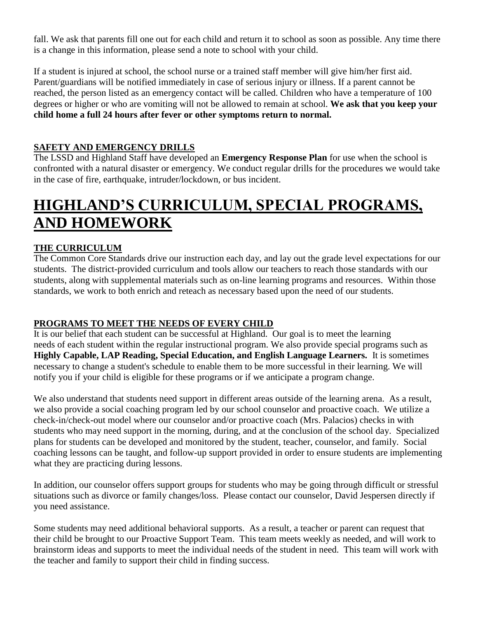fall. We ask that parents fill one out for each child and return it to school as soon as possible. Any time there is a change in this information, please send a note to school with your child.

If a student is injured at school, the school nurse or a trained staff member will give him/her first aid. Parent/guardians will be notified immediately in case of serious injury or illness. If a parent cannot be reached, the person listed as an emergency contact will be called. Children who have a temperature of 100 degrees or higher or who are vomiting will not be allowed to remain at school. **We ask that you keep your child home a full 24 hours after fever or other symptoms return to normal.**

#### **SAFETY AND EMERGENCY DRILLS**

The LSSD and Highland Staff have developed an **Emergency Response Plan** for use when the school is confronted with a natural disaster or emergency. We conduct regular drills for the procedures we would take in the case of fire, earthquake, intruder/lockdown, or bus incident.

# **HIGHLAND'S CURRICULUM, SPECIAL PROGRAMS, AND HOMEWORK**

#### **THE CURRICULUM**

The Common Core Standards drive our instruction each day, and lay out the grade level expectations for our students. The district-provided curriculum and tools allow our teachers to reach those standards with our students, along with supplemental materials such as on-line learning programs and resources. Within those standards, we work to both enrich and reteach as necessary based upon the need of our students.

#### **PROGRAMS TO MEET THE NEEDS OF EVERY CHILD**

It is our belief that each student can be successful at Highland. Our goal is to meet the learning needs of each student within the regular instructional program. We also provide special programs such as **Highly Capable, LAP Reading, Special Education, and English Language Learners.** It is sometimes necessary to change a student's schedule to enable them to be more successful in their learning. We will notify you if your child is eligible for these programs or if we anticipate a program change.

We also understand that students need support in different areas outside of the learning arena. As a result, we also provide a social coaching program led by our school counselor and proactive coach. We utilize a check-in/check-out model where our counselor and/or proactive coach (Mrs. Palacios) checks in with students who may need support in the morning, during, and at the conclusion of the school day. Specialized plans for students can be developed and monitored by the student, teacher, counselor, and family. Social coaching lessons can be taught, and follow-up support provided in order to ensure students are implementing what they are practicing during lessons.

In addition, our counselor offers support groups for students who may be going through difficult or stressful situations such as divorce or family changes/loss. Please contact our counselor, David Jespersen directly if you need assistance.

Some students may need additional behavioral supports. As a result, a teacher or parent can request that their child be brought to our Proactive Support Team. This team meets weekly as needed, and will work to brainstorm ideas and supports to meet the individual needs of the student in need. This team will work with the teacher and family to support their child in finding success.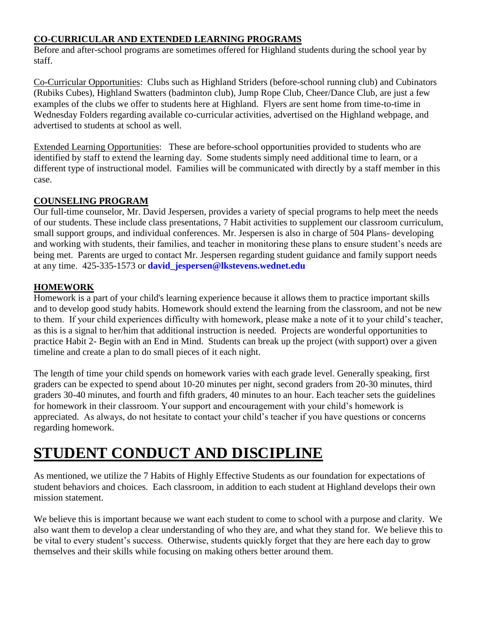#### **CO-CURRICULAR AND EXTENDED LEARNING PROGRAMS**

Before and after-school programs are sometimes offered for Highland students during the school year by staff.

Co-Curricular Opportunities: Clubs such as Highland Striders (before-school running club) and Cubinators (Rubiks Cubes), Highland Swatters (badminton club), Jump Rope Club, Cheer/Dance Club, are just a few examples of the clubs we offer to students here at Highland. Flyers are sent home from time-to-time in Wednesday Folders regarding available co-curricular activities, advertised on the Highland webpage, and advertised to students at school as well.

Extended Learning Opportunities: These are before-school opportunities provided to students who are identified by staff to extend the learning day. Some students simply need additional time to learn, or a different type of instructional model. Families will be communicated with directly by a staff member in this case.

#### **COUNSELING PROGRAM**

Our full-time counselor, Mr. David Jespersen, provides a variety of special programs to help meet the needs of our students. These include class presentations, 7 Habit activities to supplement our classroom curriculum, small support groups, and individual conferences. Mr. Jespersen is also in charge of 504 Plans- developing and working with students, their families, and teacher in monitoring these plans to ensure student's needs are being met. Parents are urged to contact Mr. Jespersen regarding student guidance and family support needs at any time. 425-335-1573 or **[david\\_jespersen@lkstevens.wednet.edu](mailto:david_jespersen@lkstevens.wednet.edu)**

#### **HOMEWORK**

Homework is a part of your child's learning experience because it allows them to practice important skills and to develop good study habits. Homework should extend the learning from the classroom, and not be new to them. If your child experiences difficulty with homework, please make a note of it to your child's teacher, as this is a signal to her/him that additional instruction is needed. Projects are wonderful opportunities to practice Habit 2- Begin with an End in Mind. Students can break up the project (with support) over a given timeline and create a plan to do small pieces of it each night.

The length of time your child spends on homework varies with each grade level. Generally speaking, first graders can be expected to spend about 10-20 minutes per night, second graders from 20-30 minutes, third graders 30-40 minutes, and fourth and fifth graders, 40 minutes to an hour. Each teacher sets the guidelines for homework in their classroom. Your support and encouragement with your child's homework is appreciated. As always, do not hesitate to contact your child's teacher if you have questions or concerns regarding homework.

# **STUDENT CONDUCT AND DISCIPLINE**

As mentioned, we utilize the 7 Habits of Highly Effective Students as our foundation for expectations of student behaviors and choices. Each classroom, in addition to each student at Highland develops their own mission statement.

We believe this is important because we want each student to come to school with a purpose and clarity. We also want them to develop a clear understanding of who they are, and what they stand for. We believe this to be vital to every student's success. Otherwise, students quickly forget that they are here each day to grow themselves and their skills while focusing on making others better around them.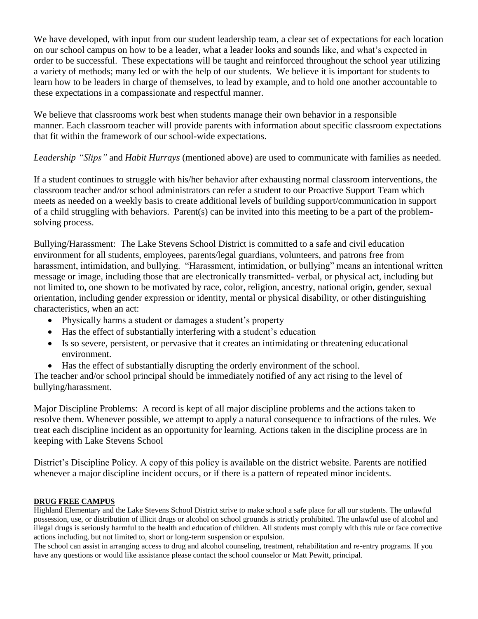We have developed, with input from our student leadership team, a clear set of expectations for each location on our school campus on how to be a leader, what a leader looks and sounds like, and what's expected in order to be successful. These expectations will be taught and reinforced throughout the school year utilizing a variety of methods; many led or with the help of our students. We believe it is important for students to learn how to be leaders in charge of themselves, to lead by example, and to hold one another accountable to these expectations in a compassionate and respectful manner.

We believe that classrooms work best when students manage their own behavior in a responsible manner. Each classroom teacher will provide parents with information about specific classroom expectations that fit within the framework of our school-wide expectations.

#### *Leadership "Slips"* and *Habit Hurrays* (mentioned above) are used to communicate with families as needed.

If a student continues to struggle with his/her behavior after exhausting normal classroom interventions, the classroom teacher and/or school administrators can refer a student to our Proactive Support Team which meets as needed on a weekly basis to create additional levels of building support/communication in support of a child struggling with behaviors. Parent(s) can be invited into this meeting to be a part of the problemsolving process.

Bullying/Harassment: The Lake Stevens School District is committed to a safe and civil education environment for all students, employees, parents/legal guardians, volunteers, and patrons free from harassment, intimidation, and bullying. "Harassment, intimidation, or bullying" means an intentional written message or image, including those that are electronically transmitted- verbal, or physical act, including but not limited to, one shown to be motivated by race, color, religion, ancestry, national origin, gender, sexual orientation, including gender expression or identity, mental or physical disability, or other distinguishing characteristics, when an act:

- Physically harms a student or damages a student's property
- Has the effect of substantially interfering with a student's education
- Is so severe, persistent, or pervasive that it creates an intimidating or threatening educational environment.
- Has the effect of substantially disrupting the orderly environment of the school.

The teacher and/or school principal should be immediately notified of any act rising to the level of bullying/harassment.

Major Discipline Problems: A record is kept of all major discipline problems and the actions taken to resolve them. Whenever possible, we attempt to apply a natural consequence to infractions of the rules. We treat each discipline incident as an opportunity for learning. Actions taken in the discipline process are in keeping with Lake Stevens School

District's Discipline Policy. A copy of this policy is available on the district website. Parents are notified whenever a major discipline incident occurs, or if there is a pattern of repeated minor incidents.

#### **DRUG FREE CAMPUS**

Highland Elementary and the Lake Stevens School District strive to make school a safe place for all our students. The unlawful possession, use, or distribution of illicit drugs or alcohol on school grounds is strictly prohibited. The unlawful use of alcohol and illegal drugs is seriously harmful to the health and education of children. All students must comply with this rule or face corrective actions including, but not limited to, short or long-term suspension or expulsion.

The school can assist in arranging access to drug and alcohol counseling, treatment, rehabilitation and re-entry programs. If you have any questions or would like assistance please contact the school counselor or Matt Pewitt, principal.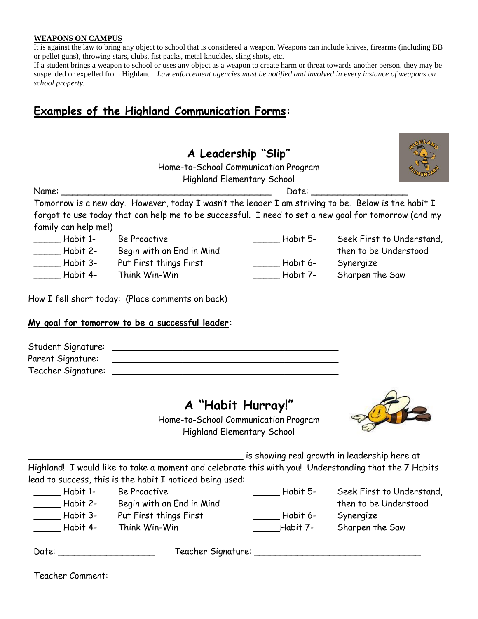#### **WEAPONS ON CAMPUS**

It is against the law to bring any object to school that is considered a weapon. Weapons can include knives, firearms (including BB or pellet guns), throwing stars, clubs, fist packs, metal knuckles, sling shots, etc.

If a student brings a weapon to school or uses any object as a weapon to create harm or threat towards another person, they may be suspended or expelled from Highland. *Law enforcement agencies must be notified and involved in every instance of weapons on school property.*

## **Examples of the Highland Communication Forms:**

## **A Leadership "Slip"**

Home-to-School Communication Program

Highland Elementary School

Tomorrow is a new day. However, today I wasn't the leader I am striving to be. Below is the habit I forgot to use today that can help me to be successful. I need to set a new goal for tomorrow (and my family can help me!)

\_\_\_\_\_ Habit 1- Be Proactive \_\_\_\_\_ Habit 2- Begin with an End in Mind \_\_\_\_\_ Habit 3- Put First things First

Habit 4- Think Win-Win

How I fell short today: (Place comments on back)

#### **My goal for tomorrow to be a successful leader:**

| Student Signature: |  |
|--------------------|--|
| Parent Signature:  |  |
| Teacher Signature: |  |

Name: \_\_\_\_\_\_\_\_\_\_\_\_\_\_\_\_\_\_\_\_\_\_\_\_\_\_\_\_\_\_\_\_\_\_\_\_\_\_\_ Date: \_\_\_\_\_\_\_\_\_\_\_\_\_\_\_\_\_\_

## **A "Habit Hurray!"**

Home-to-School Communication Program Highland Elementary School



\_\_\_\_\_\_\_\_\_\_\_\_\_\_\_\_\_\_\_\_\_\_\_\_\_\_\_\_\_\_\_\_\_\_\_\_\_\_\_\_ is showing real growth in leadership here at

Highland! I would like to take a moment and celebrate this with you! Understanding that the 7 Habits lead to success, this is the habit I noticed being used:

| Habit 1- | Be Proactive              | Habit 5- | Seek First to Understand, |
|----------|---------------------------|----------|---------------------------|
| Habit 2- | Begin with an End in Mind |          | then to be Understood     |
| Habit 3- | Put First things First    | Habit 6- | Synergize                 |
| Habit 4- | Think Win-Win             | Habit 7- | Sharpen the Saw           |

| Date: |  | Teacher Signature: |  |
|-------|--|--------------------|--|
|-------|--|--------------------|--|

Teacher Comment:



\_\_\_\_\_ Habit 6- Synergize

\_\_\_\_\_ Habit 5- Seek First to Understand, then to be Understood Habit 7- Sharpen the Saw